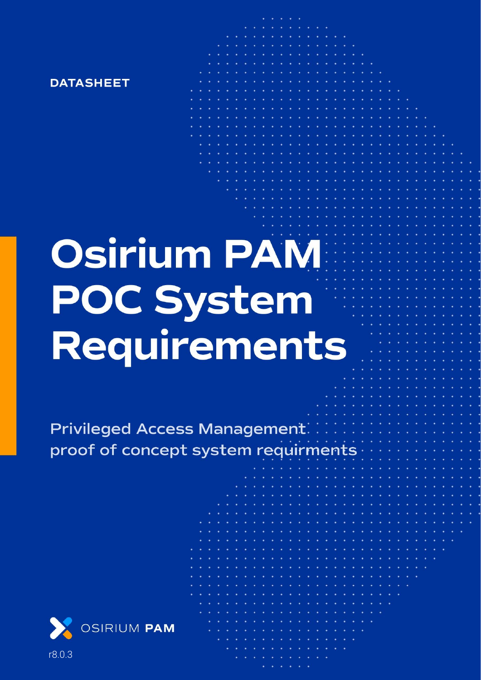

# **Osirium PAM POC System** Requirements

**Privileged Access Management:** proof of concept system requirmen



r8.0.3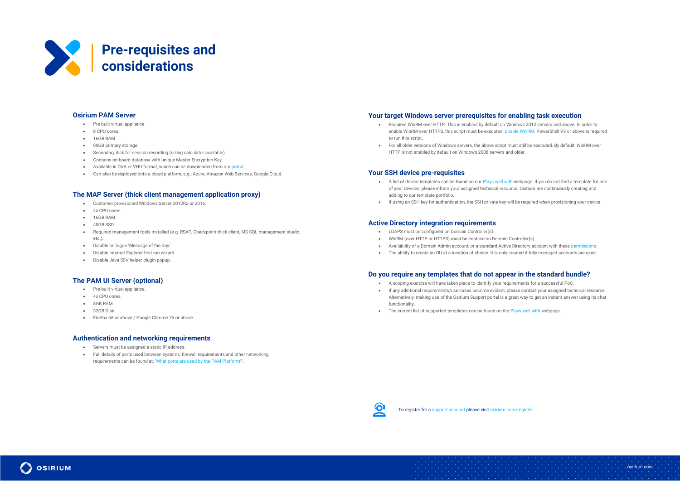#### **Osirium PAM Server**

- Pre built virtual appliance.
- 8 CPU cores.
- 16GB RAM.
- 80GB primary storage
- Secondary disk for session recording (sizing calculator available).
- Contains on-board database with unique Master Encryption Key.
- Available in OVA or VHD format, which can be downloaded from ou[r portal.](https://supportdesk.osirium.com/a/solutions/articles/9000073664)
- Can also be deployed onto a cloud platform, e.g.; Azure, Amazon Web Services, Google Cloud.

#### **The MAP Server (thick client management application proxy)**

- Customer provisioned Windows Server 2012R2 or 2016.
- 4x CPU cores.
- 16GB RAM.
- 40GB SSD.
- Required management tools installed (e.g. RSAT, Checkpoint thick client, MS SQL management studio, etc.).
- Disable on logon 'Message of the Day'.
- Disable Internet Explorer first run wizard.
- Disable Java SSV helper plugin popup.

#### **The PAM UI Server (optional)**

- Pre-built virtual appliance.
- 4x CPU cores.
- 8GB RAM.
- 32GB Disk.

**OSIRIUM** 

• Firefox 68 or above / Google Chrome 76 or above.

#### **Authentication and networking requirements**

- A list of device templates can be found on ou[r Plays well with](https://osirium.com/plays-well-with/) webpage. If you do not find a template for one of your devices, please inform your assigned technical resource. Osirium are continuously creating and adding to our template portfolio.
- If using an SSH key for authentication, the SSH private key will be required when provisioning your device.

- Servers must be assigned a static IP address.
- Full details of ports used between systems, firewall requirements and other networking requirements can be found at: ['What ports are used by the PAM Platform?'](https://supportdesk.osirium.com/support/solutions/articles/9000190743-what-ports-are-used-by-osirium-pam-server-).

### **Your target Windows server prerequisites for enabling task execution**

- A scoping exercise will have taken place to identify your requirements for a successful PoC.
- If any additional requirements/use cases become evident, please contact your assigned technical resource. Alternatively, making use of the Osirium Support portal is a great way to get an instant answer using its chat functionality.
- The current list of supported templates can be found on th[e Plays well with](https://osirium.com/plays-well-with/) webpage



- Requires WinRM over HTTP. This is enabled by default on Windows 2012 servers and above. In order to enable WinRM over HTTPS, this script must be executed: [Enable WinRM.](https://supportdesk.osirium.com/support/solutions/articles/9000192940-setting-up-winrm-on-windows-devices) PowerShell V3 or above is required to run this script.
- For all older versions of Windows servers, the above script must still be executed. By default, WinRM over HTTP is not enabled by default on Windows 2008 servers and older.

#### **Your SSH device pre-requisites**

#### **Active Directory integration requirements**

- LDAPS must be configured on Domain Controller(s).
- WinRM (over HTTP or HTTPS) must be enabled on Domain Controller(s).
- Availability of a Domain Admin account, or a standard Active Directory account with these [permissions.](https://supportdesk.osirium.com/a/solutions/articles/9000191968)
- The ability to create an OU at a location of choice. It is only created if fully managed accounts are used.

## **Do you require any templates that do not appear in the standard bundle?**



osirium.com